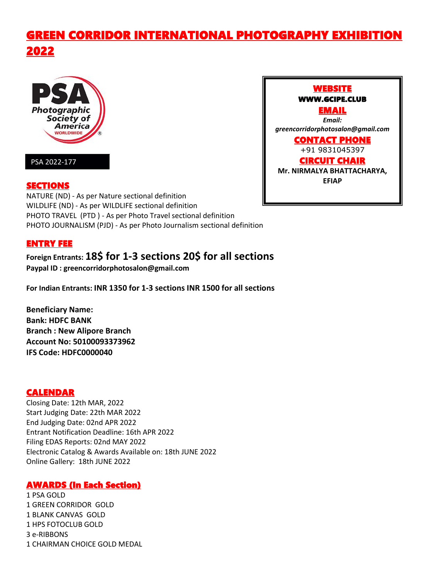# GREEN CORRIDOR INTERNATIONAL PHOTOGRAPHY EXHIBITION 2022



### PSA 2022-177

### SECTIONS

NATURE (ND) - As per Nature sectional definition WILDLIFE (ND) - As per WILDLIFE sectional definition PHOTO TRAVEL (PTD ) - As per Photo Travel sectional definition PHOTO JOURNALISM (PJD) - As per Photo Journalism sectional definition

### ENTRY FEE

## **Foreign Entrants: 18\$ for 1-3 sections 20\$ for all sections**

**Paypal ID : greencorridorphotosalon@gmail.com**

**For Indian Entrants: INR 1350 for 1-3 sections INR 1500 for all sections**

**Beneficiary Name: Bank: HDFC BANK Branch : New Alipore Branch Account No: 50100093373962 IFS Code: HDFC0000040**

### CALENDAR

Closing Date: 12th MAR, 2022 Start Judging Date: 22th MAR 2022 End Judging Date: 02nd APR 2022 Entrant Notification Deadline: 16th APR 2022 Filing EDAS Reports:02nd MAY 2022 Electronic Catalog & Awards Available on: 18th JUNE 2022 Online Gallery: 18th JUNE 2022

### AWARDS (In Each Section)

1 PSA GOLD GREEN CORRIDOR GOLD BLANK CANVAS GOLD HPS FOTOCLUB GOLD e-RIBBONS CHAIRMAN CHOICE GOLD MEDAL

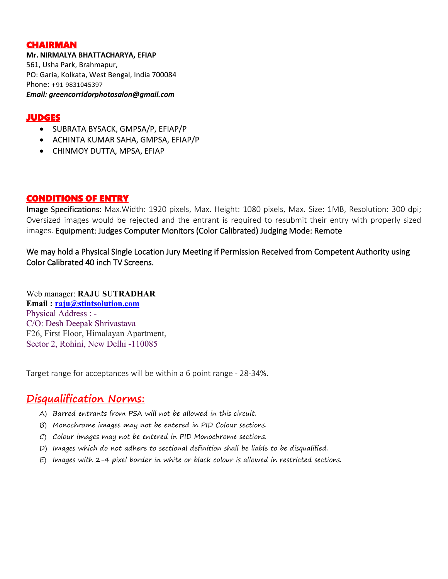### CHAIRMAN

**Mr. NIRMALYA BHATTACHARYA, EFIAP** 561, Usha Park, Brahmapur, PO: Garia, Kolkata, West Bengal, India 700084 Phone: +91 9831045397 *Email: greencorridorphotosalon@gmail.com*

### JUDGES

- SUBRATA BYSACK, GMPSA/P, EFIAP/P
- ACHINTA KUMAR SAHA, GMPSA, EFIAP/P
- CHINMOY DUTTA, MPSA, EFIAP

### CONDITIONS OF ENTRY

Image Specifications: Max.Width: 1920 pixels, Max. Height: 1080 pixels, Max. Size: 1MB, Resolution: 300 dpi; Oversized images would be rejected and the entrant is required to resubmit their entry with properly sized images. Equipment: Judges Computer Monitors (Color Calibrated) Judging Mode: Remote

We may hold a Physical Single Location Jury Meeting if Permission Received from Competent Authority using Color Calibrated 40 inch TV Screens.

Web manager: **RAJU SUTRADHAR Email : [raju@stintsolution.com](mailto:raju@stintsolution.com)** Physical Address : -<br>C/O: Desh Deepak Shrivastava F26, First Floor, Himalayan Apartment, Sector 2, Rohini, New Delhi -110085

Target range for acceptances will be within a 6 point range - 28-34%.

# **Disqualification Norms:**

- A) Barred entrants from PSA will not be allowed in this circuit.
- B) Monochrome images may not be entered in PID Colour sections.
- C) Colour images may not be entered in PID Monochrome sections.
- D) Images which do not adhere to sectional definition shall be liable to be disqualified.
- E) Images with 2-4 pixel border in white or black colour is allowed in restricted sections.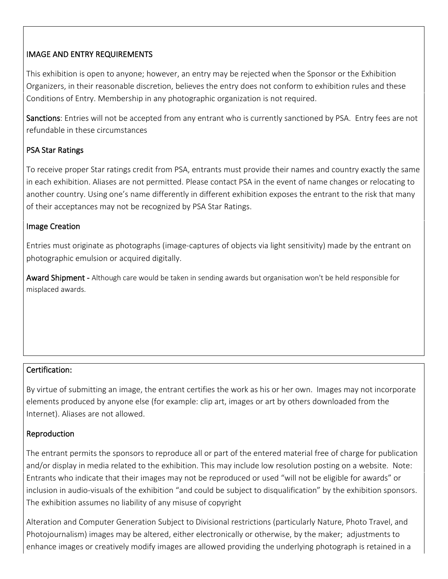### IMAGE AND ENTRY REQUIREMENTS

This exhibition is open to anyone; however, an entry may be rejected when the Sponsor or the Exhibition Organizers, in their reasonable discretion, believes the entry does not conform to exhibition rules and these Conditions of Entry. Membership in any photographic organization is not required.

Sanctions: Entries will not be accepted from any entrant who is currently sanctioned by PSA. Entry fees are not refundable in these circumstances

### PSA Star Ratings

To receive proper Star ratings credit from PSA, entrants must provide their names and country exactly the same in each exhibition. Aliases are not permitted. Please contact PSA in the event of name changes or relocating to another country. Using one's name differently in different exhibition exposes the entrant to the risk that many of their acceptances may not be recognized by PSA Star Ratings.

### Image Creation

Entries must originate as photographs (image-captures of objects via light sensitivity) made by the entranton photographic emulsion or acquired digitally.

Award Shipment - Although care would be taken in sending awards but organisation won't be held responsible for misplaced awards.

### Certification:

By virtue of submitting an image, the entrant certifies the work as his or her own. Images may not incorporate elements produced by anyone else (for example: clip art, images or art by others downloaded from the Internet). Aliases are not allowed.

### Reproduction

The entrant permits the sponsors to reproduce all or part of the entered material free of charge for publication and/or display in media related to the exhibition. This may include low resolution posting on a website. Note: Entrants who indicate that their images may not be reproduced or used "will not be eligible for awards" or inclusion in audio-visuals of the exhibition "and could be subject to disqualification" by the exhibition sponsors. The exhibition assumes no liability of any misuse of copyright

Alteration and Computer Generation Subject to Divisional restrictions (particularly Nature, Photo Travel, and Photojournalism) images may be altered, either electronically or otherwise, by the maker; adjustments to enhance images or creatively modify images are allowed providing the underlying photograph is retained in a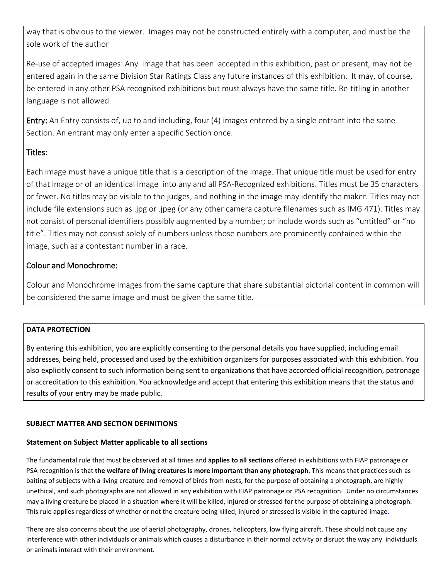way that is obvious to the viewer. Images may not be constructed entirely with a computer, and must be the sole work of the author

Re-use of accepted images: Any image that has been accepted in this exhibition, past or present, may not be entered again in the same Division Star Ratings Class any future instances of this exhibition. It may, of course, be entered in any other PSA recognised exhibitions but must always have the same title. Re-titling in another language is not allowed.

Entry: An Entry consists of, up to and including, four (4) images entered by a single entrant into the same Section. An entrant may only enter a specific Section once.

### Titles:

Each image must have a unique title that is a description of the image. That unique title must be used for entry of that image or of an identical Image into any and all PSA-Recognized exhibitions. Titles must be 35 characters or fewer. No titles may be visible to the judges, and nothing in the image may identify the maker. Titles may not include file extensions such as .jpg or .jpeg (or any other camera capture filenames such as IMG 471). Titles may not consist of personal identifiers possibly augmented by a number; or include words such as "untitled" or "no title". Titles may not consist solely of numbers unless those numbers are prominently contained within the image, such as a contestant number in a race.

### Colour and Monochrome:

Colour and Monochrome images from the same capture that share substantial pictorial content in common will be considered the same image and must be given the same title.

### **DATA PROTECTION**

By entering this exhibition, you are explicitly consenting to the personal details you have supplied, including email addresses, being held, processed and used by the exhibition organizers for purposes associated with this exhibition. You also explicitly consent to such information being sent to organizations that have accorded official recognition, patronage or accreditation to this exhibition. You acknowledge and accept that entering this exhibition means that the status and results of your entry may be made public.

### **SUBJECT MATTER AND SECTION DEFINITIONS**

### **Statement on Subject Matter applicable to all sections**

The fundamental rule that must be observed at all times and **applies to all sections** offered in exhibitions with FIAP patronage or PSA recognition is that **the welfare of living creatures is more important than any photograph**. This means that practices such as baiting of subjects with a living creature and removal of birds from nests, for the purpose of obtaining a photograph, are highly unethical, and such photographs are not allowed in any exhibition with FIAP patronage or PSA recognition. Under no circumstances may a living creature be placed in a situation where itwill be killed, injured or stressed for the purpose of obtaining a photograph. This rule applies regardless of whether or not the creature being killed, injured or stressed is visible in the captured image.

There are also concerns about the use of aerial photography, drones, helicopters, low flying aircraft. These should not cause any interference with other individuals or animals which causes a disturbance in their normal activity or disrupt the way any individuals or animals interact with their environment.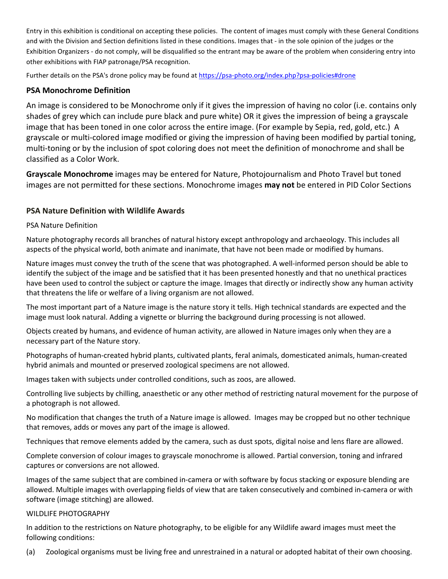Entry in this exhibition is conditional on accepting these policies. The content of images must comply with these General Conditions and with the Division and Section definitions listed in these conditions. Images that - in the sole opinion of the judges or the Exhibition Organizers - do not comply, will be disqualified so the entrant may be aware of the problem when considering entry into other exhibitions with FIAP patronage/PSA recognition.

Further details on the PSA's drone policy may be found at [https://psa-photo.org/index.php?psa-policies#drone](https://psa-photo.org/index.php?psa-policies%23drone)

### **PSA Monochrome Definition**

An image is considered to be Monochrome only if it gives the impression of having no color (i.e. contains only shades of grey which can include pure black and pure white) OR it gives the impression of being a grayscale image that has been toned in one color across the entire image. (For example by Sepia, red, gold, etc.) A grayscale or multi-colored image modified or giving the impression of having been modified by partial toning, multi-toning or by the inclusion of spot coloring does not meet the definition of monochrome and shall be classified as a Color Work.

**Grayscale Monochrome** images may be entered for Nature, Photojournalism and Photo Travel but toned images are not permitted for these sections. Monochrome images **may not** be entered in PID Color Sections

### **PSA Nature Definition with Wildlife Awards**

#### PSA Nature Definition

Nature photography records all branches of natural history except anthropology and archaeology. This includes all aspects of the physical world, both animate and inanimate, that have not been made or modified by humans.

Nature images must convey the truth of the scene that was photographed. A well-informed person should be able to identify the subject of the image and be satisfied that it has been presented honestly and that no unethical practices have been used to control the subject or capture the image. Images that directly or indirectly show any human activity that threatens the life or welfare of a living organism are not allowed.

The most important part of a Nature image is the nature story it tells. High technical standards are expected and the image must look natural. Adding a vignette or blurring the background during processing is not allowed.

Objects created by humans, and evidence of human activity, are allowed in Nature images only when they are a necessary part of the Nature story.

Photographs of human-created hybrid plants, cultivated plants, feral animals, domesticated animals, human-created hybrid animals and mounted or preserved zoological specimens are not allowed.

Images taken with subjects under controlled conditions, such as zoos, are allowed.

Controlling live subjects by chilling, anaesthetic or any other method of restricting natural movement for the purpose of a photograph is not allowed.

No modification that changes the truth of a Nature image is allowed. Images may be cropped but no other technique that removes, adds or moves any part of the image is allowed.

Techniques that remove elements added by the camera, such as dust spots, digital noise and lens flare are allowed.

Complete conversion of colour images to grayscale monochrome is allowed. Partial conversion, toning and infrared captures or conversions are not allowed.

Images of the same subject that are combined in-camera or with software by focus stacking or exposure blending are allowed. Multiple images with overlapping fields of view that are taken consecutively and combined in-camera or with software (image stitching) are allowed.

#### WILDLIFE PHOTOGRAPHY

In addition to the restrictions on Nature photography, to be eligible for any Wildlife award images must meet the following conditions:

(a) Zoological organisms must be living free and unrestrained in a natural or adopted habitat oftheir own choosing.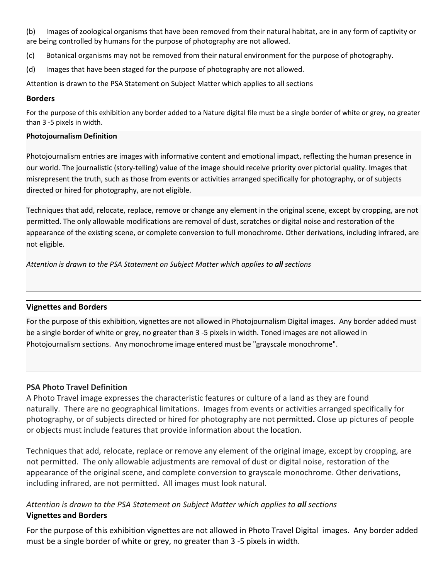(b) Images of zoological organisms that have been removed from their natural habitat, are in any form of captivity or are being controlled by humans for the purpose of photography are not allowed.

- (c) Botanical organisms may not be removed from their natural environment for the purpose of photography.
- (d) Images that have been staged for the purpose of photography are not allowed.

Attention is drawn to the PSA Statement on Subject Matter which applies to all sections

#### **Borders**

For the purpose of this exhibition any border added to a Nature digital file must be a single border of white or grey, no greater than 3 -5 pixels in width.

#### **Photojournalism Definition**

Photojournalism entries are images with informative content and emotional impact, reflecting the human presence in our world. The journalistic (story-telling) value of the image should receive priority over pictorial quality. Images that misrepresent the truth, such as those from events or activities arranged specifically for photography, or of subjects directed or hired for photography, are not eligible.

Techniques that add, relocate, replace, remove or change any element in the original scene, except by cropping, are not permitted. The only allowable modifications are removal of dust, scratches or digital noise and restoration of the appearance of the existing scene, or complete conversion to full monochrome. Other derivations, including infrared, are not eligible.

*Attention is drawn to the PSA Statement on Subject Matter which applies to all sections*

### **Vignettes and Borders**

For the purpose of this exhibition, vignettes are not allowed in Photojournalism Digital images. Any border added must be a single border of white or grey, no greater than 3 -5 pixels in width. Toned images are not allowed in Photojournalism sections. Any monochrome image entered must be "grayscale monochrome".

### **PSA Photo Travel Definition**

A Photo Travel image expresses the characteristic features or culture of a land as they are found naturally. There are no geographical limitations. Images from events or activities arranged specifically for photography, or of subjects directed or hired for photography are not permitted**.** Close up pictures of people or objects must include features that provide information about the location.

Techniques that add, relocate, replace or remove any element of the original image, except by cropping, are not permitted. The only allowable adjustments are removal of dust or digital noise, restoration of the appearance of the original scene, and complete conversion to grayscale monochrome. Other derivations, including infrared, are not permitted. All images must look natural.

### *Attention is drawn to the PSA Statement on Subject Matter which applies to all sections* **Vignettes and Borders**

For the purpose of this exhibition vignettes are not allowed in Photo Travel Digital images. Any border added must be a single border of white or grey, no greater than 3 -5 pixels in width.